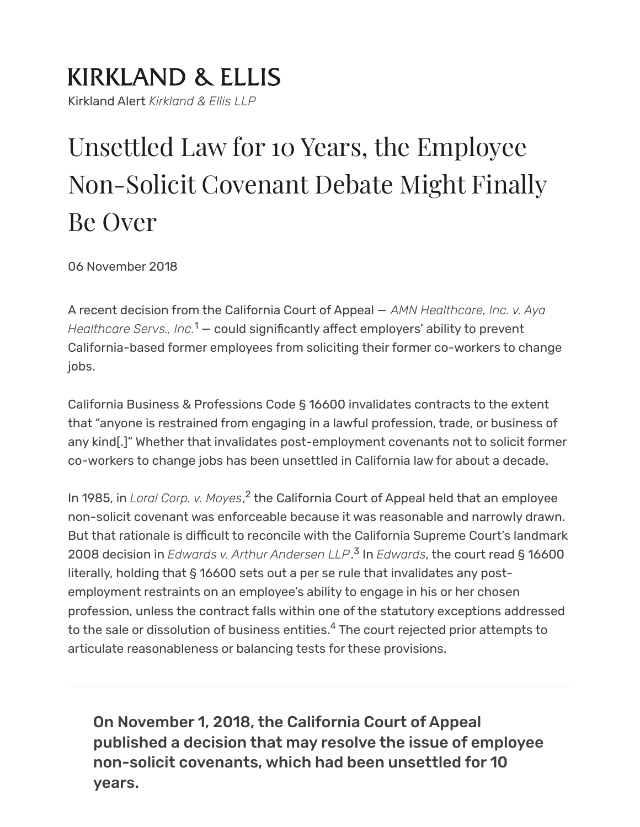### **KIRKLAND & ELLIS** Kirkland Alert *Kirkland & Ellis LLP*

# Unsettled Law for 10 Years, the Employee Non-Solicit Covenant Debate Might Finally Be Over

06 November 2018

<span id="page-0-0"></span>A recent decision from the California Court of Appeal — *AMN Healthcare, Inc. v. Aya* Healthcare Servs., Inc.<sup>[1](#page-3-0)</sup> — could significantly affect employers' ability to prevent California-based former employees from soliciting their former co-workers to change jobs.

California Business & Professions Code § 16600 invalidates contracts to the extent that "anyone is restrained from engaging in a lawful profession, trade, or business of any kind[.]" Whether that invalidates post-employment covenants not to solicit former co-workers to change jobs has been unsettled in California law for about a decade.

<span id="page-0-2"></span><span id="page-0-1"></span>In 1985, in *Loral Corp. v. Moyes*,<sup>[2](#page-3-1)</sup> the California Court of Appeal held that an employee non-solicit covenant was enforceable because it was reasonable and narrowly drawn. But that rationale is difficult to reconcile with the California Supreme Court's landmark 2008 decision in *Edwards v. Arthur Andersen LLP*. In *Edwards*, the court read § 16600 [3](#page-3-2) literally, holding that § 16600 sets out a per se rule that invalidates any postemployment restraints on an employee's ability to engage in his or her chosen profession, unless the contract falls within one of the statutory exceptions addressed to the sale or dissolution of business entities. $\rm ^4$  $\rm ^4$  The court rejected prior attempts to articulate reasonableness or balancing tests for these provisions.

<span id="page-0-3"></span>On November 1, 2018, the California Court of Appeal published a decision that may resolve the issue of employee non-solicit covenants, which had been unsettled for 10 years.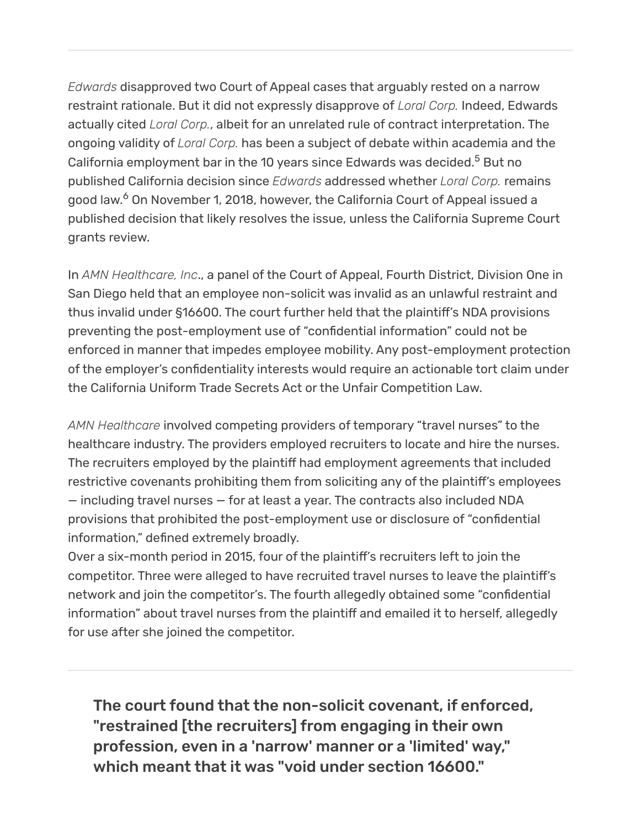<span id="page-1-0"></span>*Edwards* disapproved two Court of Appeal cases that arguably rested on a narrow restraint rationale. But it did not expressly disapprove of *Loral Corp.* Indeed, Edwards actually cited *Loral Corp.*, albeit for an unrelated rule of contract interpretation. The ongoing validity of *Loral Corp.* has been a subject of debate within academia and the California employment bar in the 10 years since Edwards was decided. $^5$  $^5$  But no published California decision since *Edwards* addressed whether *Loral Corp.* remains good law.<sup>[6](#page-3-5)</sup> On November 1, 2018, however, the California Court of Appeal issued a published decision that likely resolves the issue, unless the California Supreme Court grants review.

<span id="page-1-1"></span>In *AMN Healthcare, Inc*., a panel of the Court of Appeal, Fourth District, Division One in San Diego held that an employee non-solicit was invalid as an unlawful restraint and thus invalid under §16600. The court further held that the plaintiff's NDA provisions preventing the post-employment use of "confidential information" could not be enforced in manner that impedes employee mobility. Any post-employment protection of the employer's confidentiality interests would require an actionable tort claim under the California Uniform Trade Secrets Act or the Unfair Competition Law.

*AMN Healthcare* involved competing providers of temporary "travel nurses" to the healthcare industry. The providers employed recruiters to locate and hire the nurses. The recruiters employed by the plaintiff had employment agreements that included restrictive covenants prohibiting them from soliciting any of the plaintiff's employees — including travel nurses — for at least a year. The contracts also included NDA provisions that prohibited the post-employment use or disclosure of "confidential information," defined extremely broadly.

Over a six-month period in 2015, four of the plaintiff's recruiters left to join the competitor. Three were alleged to have recruited travel nurses to leave the plaintiff's network and join the competitor's. The fourth allegedly obtained some "confidential information" about travel nurses from the plaintiff and emailed it to herself, allegedly for use after she joined the competitor.

The court found that the non-solicit covenant, if enforced, "restrained [the recruiters] from engaging in their own profession, even in a 'narrow' manner or a 'limited' way," which meant that it was "void under section 16600."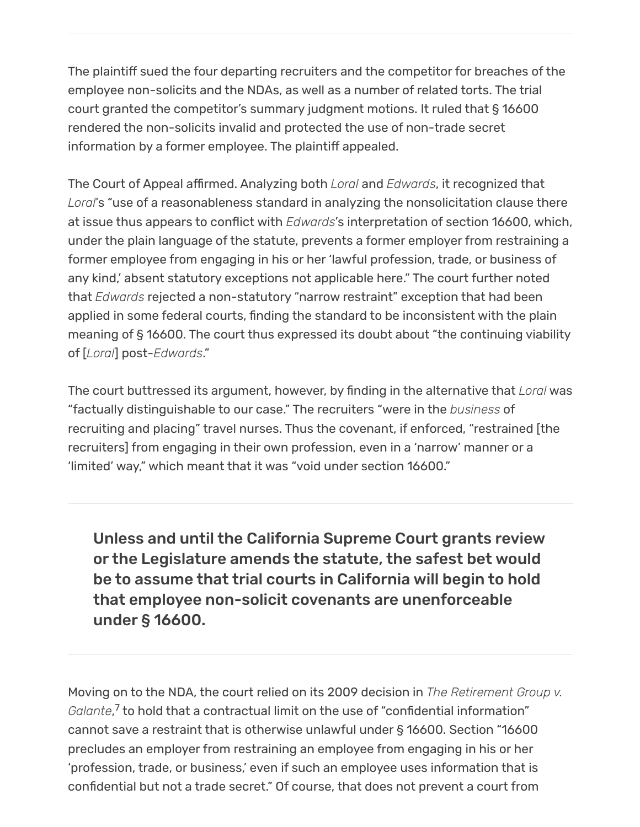The plaintiff sued the four departing recruiters and the competitor for breaches of the employee non-solicits and the NDAs, as well as a number of related torts. The trial court granted the competitor's summary judgment motions. It ruled that § 16600 rendered the non-solicits invalid and protected the use of non-trade secret information by a former employee. The plaintiff appealed.

The Court of Appeal affirmed. Analyzing both *Loral* and *Edwards*, it recognized that *Loral*'s "use of a reasonableness standard in analyzing the nonsolicitation clause there at issue thus appears to conflict with *Edwards*'s interpretation of section 16600, which, under the plain language of the statute, prevents a former employer from restraining a former employee from engaging in his or her 'lawful profession, trade, or business of any kind,' absent statutory exceptions not applicable here." The court further noted that *Edwards* rejected a non-statutory "narrow restraint" exception that had been applied in some federal courts, finding the standard to be inconsistent with the plain meaning of § 16600. The court thus expressed its doubt about "the continuing viability of [*Loral*] post-*Edwards*."

The court buttressed its argument, however, by finding in the alternative that *Loral* was "factually distinguishable to our case." The recruiters "were in the *business* of recruiting and placing" travel nurses. Thus the covenant, if enforced, "restrained [the recruiters] from engaging in their own profession, even in a 'narrow' manner or a 'limited' way," which meant that it was "void under section 16600."

Unless and until the California Supreme Court grants review or the Legislature amends the statute, the safest bet would be to assume that trial courts in California will begin to hold that employee non-solicit covenants are unenforceable under § 16600.

<span id="page-2-0"></span>Moving on to the NDA, the court relied on its 2009 decision in *The Retirement Group v. Galante*,<sup>[7](#page-3-6)</sup> to hold that a contractual limit on the use of "confidential information" cannot save a restraint that is otherwise unlawful under § 16600. Section "16600 precludes an employer from restraining an employee from engaging in his or her 'profession, trade, or business,' even if such an employee uses information that is confidential but not a trade secret." Of course, that does not prevent a court from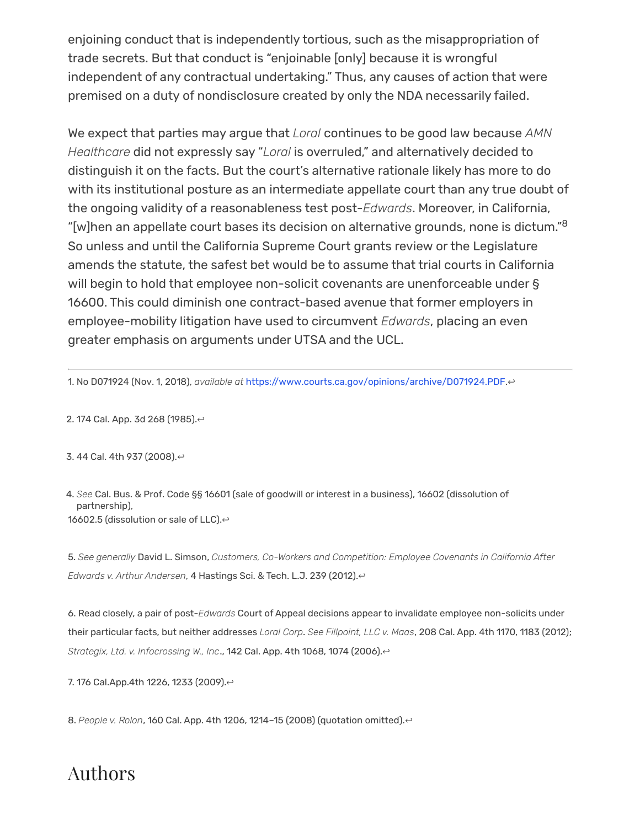enjoining conduct that is independently tortious, such as the misappropriation of trade secrets. But that conduct is "enjoinable [only] because it is wrongful independent of any contractual undertaking." Thus, any causes of action that were premised on a duty of nondisclosure created by only the NDA necessarily failed.

<span id="page-3-8"></span>We expect that parties may argue that *Loral* continues to be good law because *AMN Healthcare* did not expressly say "*Loral* is overruled," and alternatively decided to distinguish it on the facts. But the court's alternative rationale likely has more to do with its institutional posture as an intermediate appellate court than any true doubt of the ongoing validity of a reasonableness test post-*Edwards*. Moreover, in California, "[w]hen an appellate court bases its decision on alternative grounds, none is dictum." $\rm ^8$  $\rm ^8$ So unless and until the California Supreme Court grants review or the Legislature amends the statute, the safest bet would be to assume that trial courts in California will begin to hold that employee non-solicit covenants are unenforceable under § 16600. This could diminish one contract-based avenue that former employers in employee-mobility litigation have used to circumvent *Edwards*, placing an even greater emphasis on arguments under UTSA and the UCL.

<span id="page-3-0"></span>1. No D071924 (Nov. 1, 2018), *available at* [https://www.courts.ca.gov/opinions/archive/D071924.PDF.](https://www.courts.ca.gov/opinions/archive/D071924.PDF)[↩](#page-0-0)

<span id="page-3-1"></span>2. 174 Cal. App. 3d 268 (1985).[↩](#page-0-1)

<span id="page-3-2"></span>3. 44 Cal. 4th 937 (2008).[↩](#page-0-2)

<span id="page-3-3"></span>4. *See* Cal. Bus. & Prof. Code §§ 16601 (sale of goodwill or interest in a business), 16602 (dissolution of partnership), 16602.5 (dissolution or sale of LLC). ↔

<span id="page-3-4"></span>5. *See generally* David L. Simson, *Customers, Co-Workers and Competition: Employee Covenants in California After Edwards v. Arthur Andersen*, 4 Hastings Sci. & Tech. L.J. 239 (2012).[↩](#page-1-0)

<span id="page-3-5"></span>6. Read closely, a pair of post-*Edwards* Court of Appeal decisions appear to invalidate employee non-solicits under their particular facts, but neither addresses *Loral Corp*. *See Fillpoint, LLC v. Maas*, 208 Cal. App. 4th 1170, 1183 (2012); *Strategix, Ltd. v. Infocrossing W., Inc*., 142 Cal. App. 4th 1068, 1074 (2006).[↩](#page-1-1)

<span id="page-3-6"></span>7. 176 Cal. App. 4th 1226, 1233 (2009). ↔

<span id="page-3-7"></span>8. People v. Rolon, 160 Cal. App. 4th 1206, 1214-15 (2008) (quotation omitted).<sup>←</sup>

#### Authors